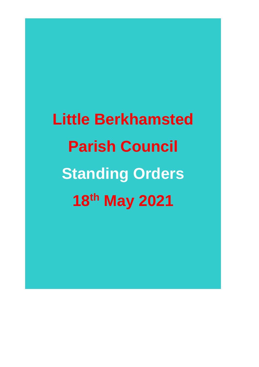**Little Berkhamsted Parish Council Standing Orders 18 th May 2021**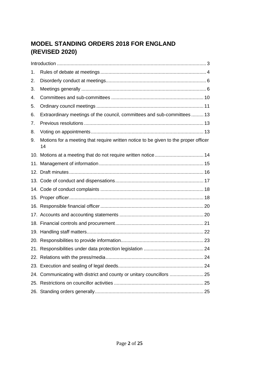# **MODEL STANDING ORDERS 2018 FOR ENGLAND (REVISED 2020)**

| 1. |                                                                                           |  |
|----|-------------------------------------------------------------------------------------------|--|
| 2. |                                                                                           |  |
| 3. |                                                                                           |  |
| 4. |                                                                                           |  |
| 5. |                                                                                           |  |
| 6. | Extraordinary meetings of the council, committees and sub-committees  13                  |  |
| 7. |                                                                                           |  |
| 8. |                                                                                           |  |
| 9. | Motions for a meeting that require written notice to be given to the proper officer<br>14 |  |
|    | 10. Motions at a meeting that do not require written notice 14                            |  |
|    |                                                                                           |  |
|    |                                                                                           |  |
|    |                                                                                           |  |
|    |                                                                                           |  |
|    |                                                                                           |  |
|    |                                                                                           |  |
|    |                                                                                           |  |
|    |                                                                                           |  |
|    |                                                                                           |  |
|    |                                                                                           |  |
|    |                                                                                           |  |
|    |                                                                                           |  |
|    |                                                                                           |  |
|    | 24. Communicating with district and county or unitary councillors  25                     |  |
|    |                                                                                           |  |
|    |                                                                                           |  |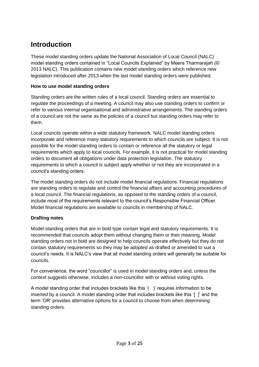# <span id="page-2-0"></span>**Introduction**

These model standing orders update the National Association of Local Council (NALC) model standing orders contained in "Local Councils Explained" by Meera Tharmarajah (© 2013 NALC). This publication contains new model standing orders which reference new legislation introduced after 2013 when the last model standing orders were published.

#### **How to use model standing orders**

Standing orders are the written rules of a local council. Standing orders are essential to regulate the proceedings of a meeting. A council may also use standing orders to confirm or refer to various internal organisational and administrative arrangements. The standing orders of a council are not the same as the policies of a council but standing orders may refer to them.

Local councils operate within a wide statutory framework. NALC model standing orders incorporate and reference many statutory requirements to which councils are subject. It is not possible for the model standing orders to contain or reference all the statutory or legal requirements which apply to local councils. For example, it is not practical for model standing orders to document all obligations under data protection legislation. The statutory requirements to which a council is subject apply whether or not they are incorporated in a council's standing orders.

The model standing orders do not include model financial regulations. Financial regulations are standing orders to regulate and control the financial affairs and accounting procedures of a local council. The financial regulations, as opposed to the standing orders of a council, include most of the requirements relevant to the council's Responsible Financial Officer. Model financial regulations are available to councils in membership of NALC.

#### **Drafting notes**

Model standing orders that are in bold type contain legal and statutory requirements. It is recommended that councils adopt them without changing them or their meaning. Model standing orders not in bold are designed to help councils operate effectively but they do not contain statutory requirements so they may be adopted as drafted or amended to suit a council's needs. It is NALC's view that all model standing orders will generally be suitable for councils.

For convenience, the word "councillor" is used in model standing orders and, unless the context suggests otherwise, includes a non-councillor with or without voting rights.

A model standing order that includes brackets like this '( )' requires information to be inserted by a council. A model standing order that includes brackets like this '[ ]' and the term 'OR' provides alternative options for a council to choose from when determining standing orders.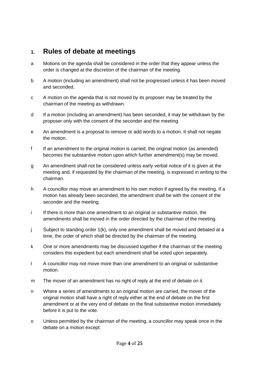### <span id="page-3-0"></span>**1. Rules of debate at meetings**

- a Motions on the agenda shall be considered in the order that they appear unless the order is changed at the discretion of the chairman of the meeting.
- b A motion (including an amendment) shall not be progressed unless it has been moved and seconded.
- c A motion on the agenda that is not moved by its proposer may be treated by the chairman of the meeting as withdrawn.
- d If a motion (including an amendment) has been seconded, it may be withdrawn by the proposer only with the consent of the seconder and the meeting.
- e An amendment is a proposal to remove or add words to a motion. It shall not negate the motion.
- f If an amendment to the original motion is carried, the original motion (as amended) becomes the substantive motion upon which further amendment(s) may be moved.
- g An amendment shall not be considered unless early verbal notice of it is given at the meeting and, if requested by the chairman of the meeting, is expressed in writing to the chairman.
- h A councillor may move an amendment to his own motion if agreed by the meeting. If a motion has already been seconded, the amendment shall be with the consent of the seconder and the meeting.
- i If there is more than one amendment to an original or substantive motion, the amendments shall be moved in the order directed by the chairman of the meeting.
- j Subject to standing order 1(k), only one amendment shall be moved and debated at a time, the order of which shall be directed by the chairman of the meeting.
- k One or more amendments may be discussed together if the chairman of the meeting considers this expedient but each amendment shall be voted upon separately.
- l A councillor may not move more than one amendment to an original or substantive motion.
- m The mover of an amendment has no right of reply at the end of debate on it.
- n Where a series of amendments to an original motion are carried, the mover of the original motion shall have a right of reply either at the end of debate on the first amendment or at the very end of debate on the final substantive motion immediately before it is put to the vote.
- o Unless permitted by the chairman of the meeting, a councillor may speak once in the debate on a motion except: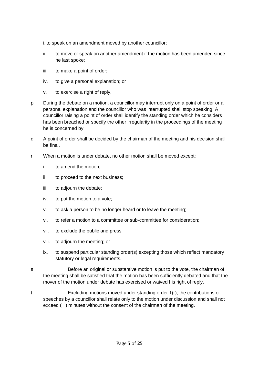i. to speak on an amendment moved by another councillor;

- ii. to move or speak on another amendment if the motion has been amended since he last spoke;
- iii. to make a point of order;
- iv. to give a personal explanation; or
- v. to exercise a right of reply.
- p During the debate on a motion, a councillor may interrupt only on a point of order or a personal explanation and the councillor who was interrupted shall stop speaking. A councillor raising a point of order shall identify the standing order which he considers has been breached or specify the other irregularity in the proceedings of the meeting he is concerned by.
- q A point of order shall be decided by the chairman of the meeting and his decision shall be final.
- r When a motion is under debate, no other motion shall be moved except:
	- i. to amend the motion;
	- ii. to proceed to the next business;
	- iii. to adjourn the debate;
	- iv. to put the motion to a vote;
	- v. to ask a person to be no longer heard or to leave the meeting;
	- vi. to refer a motion to a committee or sub-committee for consideration;
	- vii. to exclude the public and press;
	- viii. to adjourn the meeting; or
	- ix. to suspend particular standing order(s) excepting those which reflect mandatory statutory or legal requirements.
- s Before an original or substantive motion is put to the vote, the chairman of the meeting shall be satisfied that the motion has been sufficiently debated and that the mover of the motion under debate has exercised or waived his right of reply.
- t Excluding motions moved under standing order 1(r), the contributions or speeches by a councillor shall relate only to the motion under discussion and shall not exceed () minutes without the consent of the chairman of the meeting.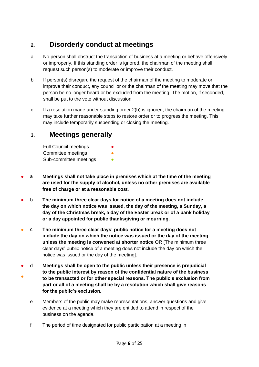# <span id="page-5-0"></span>**2. Disorderly conduct at meetings**

- a No person shall obstruct the transaction of business at a meeting or behave offensively or improperly. If this standing order is ignored, the chairman of the meeting shall request such person(s) to moderate or improve their conduct.
- b If person(s) disregard the request of the chairman of the meeting to moderate or improve their conduct, any councillor or the chairman of the meeting may move that the person be no longer heard or be excluded from the meeting. The motion, if seconded, shall be put to the vote without discussion.
- c If a resolution made under standing order 2(b) is ignored, the chairman of the meeting may take further reasonable steps to restore order or to progress the meeting. This may include temporarily suspending or closing the meeting.

### <span id="page-5-1"></span>**3. Meetings generally**

| <b>Full Council meetings</b> | $\bullet$ |
|------------------------------|-----------|
| Committee meetings           | O         |
| Sub-committee meetings       |           |

- a **Meetings shall not take place in premises which at the time of the meeting are used for the supply of alcohol, unless no other premises are available free of charge or at a reasonable cost.**
- b **The minimum three clear days for notice of a meeting does not include the day on which notice was issued, the day of the meeting, a Sunday, a day of the Christmas break, a day of the Easter break or of a bank holiday or a day appointed for public thanksgiving or mourning.**
- c **The minimum three clear days' public notice for a meeting does not include the day on which the notice was issued or the day of the meeting unless the meeting is convened at shorter notice** OR [The minimum three clear days' public notice of a meeting does not include the day on which the notice was issued or the day of the meeting].
- ● d **Meetings shall be open to the public unless their presence is prejudicial to the public interest by reason of the confidential nature of the business to be transacted or for other special reasons. The public's exclusion from part or all of a meeting shall be by a resolution which shall give reasons for the public's exclusion.**
	- e Members of the public may make representations, answer questions and give evidence at a meeting which they are entitled to attend in respect of the business on the agenda.
	- f The period of time designated for public participation at a meeting in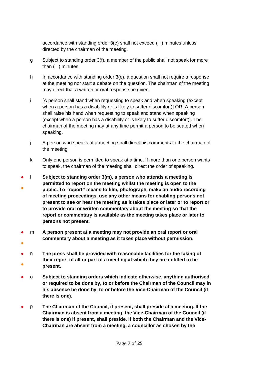accordance with standing order 3(e) shall not exceed ( ) minutes unless directed by the chairman of the meeting.

- g Subject to standing order 3(f), a member of the public shall not speak for more than ( ) minutes.
- h In accordance with standing order 3(e), a question shall not require a response at the meeting nor start a debate on the question. The chairman of the meeting may direct that a written or oral response be given.
- i [A person shall stand when requesting to speak and when speaking (except when a person has a disability or is likely to suffer discomfort)] OR [A person shall raise his hand when requesting to speak and stand when speaking (except when a person has a disability or is likely to suffer discomfort)]. The chairman of the meeting may at any time permit a person to be seated when speaking.
- j A person who speaks at a meeting shall direct his comments to the chairman of the meeting.
- k Only one person is permitted to speak at a time. If more than one person wants to speak, the chairman of the meeting shall direct the order of speaking.
- ● l **Subject to standing order 3(m), a person who attends a meeting is permitted to report on the meeting whilst the meeting is open to the public. To "report" means to film, photograph, make an audio recording of meeting proceedings, use any other means for enabling persons not present to see or hear the meeting as it takes place or later or to report or to provide oral or written commentary about the meeting so that the report or commentary is available as the meeting takes place or later to persons not present.**
- ● m **A person present at a meeting may not provide an oral report or oral commentary about a meeting as it takes place without permission.**
- ● n **The press shall be provided with reasonable facilities for the taking of their report of all or part of a meeting at which they are entitled to be present.**
- o **Subject to standing orders which indicate otherwise, anything authorised or required to be done by, to or before the Chairman of the Council may in his absence be done by, to or before the Vice-Chairman of the Council (if there is one).**
- p **The Chairman of the Council, if present, shall preside at a meeting. If the Chairman is absent from a meeting, the Vice-Chairman of the Council (if there is one) if present, shall preside. If both the Chairman and the Vice-Chairman are absent from a meeting, a councillor as chosen by the**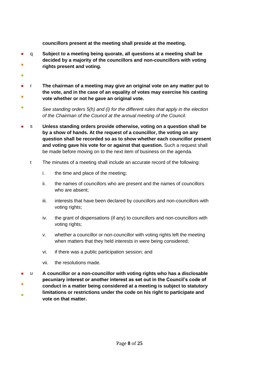**councillors present at the meeting shall preside at the meeting.**

- ● q **Subject to a meeting being quorate, all questions at a meeting shall be decided by a majority of the councillors and non-councillors with voting rights present and voting.**
- ●
- ● r **The chairman of a meeting may give an original vote on any matter put to the vote, and in the case of an equality of votes may exercise his casting vote whether or not he gave an original vote.**
- *See standing orders 5(h) and (i) for the different rules that apply in the election of the Chairman of the Council at the annual meeting of the Council.*
- s **Unless standing orders provide otherwise, voting on a question shall be by a show of hands. At the request of a councillor, the voting on any question shall be recorded so as to show whether each councillor present and voting gave his vote for or against that question.** Such a request shall be made before moving on to the next item of business on the agenda.
	- t The minutes of a meeting shall include an accurate record of the following:
		- i. the time and place of the meeting;
		- ii. the names of councillors who are present and the names of councillors who are absent;
		- iii. interests that have been declared by councillors and non-councillors with voting rights;
		- iv. the grant of dispensations (if any) to councillors and non-councillors with voting rights;
		- v. whether a councillor or non-councillor with voting rights left the meeting when matters that they held interests in were being considered;
		- vi. if there was a public participation session; and
		- vii. the resolutions made.
- ● ● u **A councillor or a non-councillor with voting rights who has a disclosable pecuniary interest or another interest as set out in the Council's code of conduct in a matter being considered at a meeting is subject to statutory limitations or restrictions under the code on his right to participate and vote on that matter.**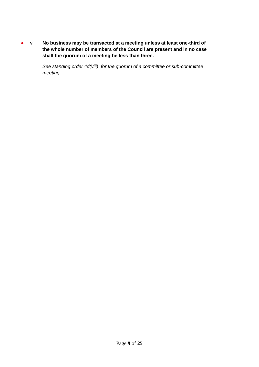● v **No business may be transacted at a meeting unless at least one-third of the whole number of members of the Council are present and in no case shall the quorum of a meeting be less than three.**

> *See standing order 4d(viii) for the quorum of a committee or sub-committee meeting.*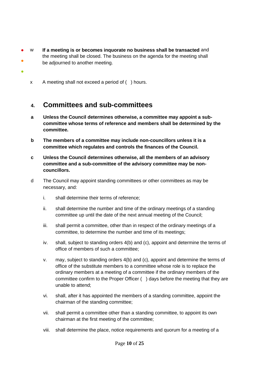- ● w **If a meeting is or becomes inquorate no business shall be transacted** and the meeting shall be closed. The business on the agenda for the meeting shall be adjourned to another meeting.
	- x A meeting shall not exceed a period of ( ) hours.

●

### <span id="page-9-0"></span>**4. Committees and sub-committees**

- **a Unless the Council determines otherwise, a committee may appoint a subcommittee whose terms of reference and members shall be determined by the committee.**
- **b The members of a committee may include non-councillors unless it is a committee which regulates and controls the finances of the Council.**
- **c Unless the Council determines otherwise, all the members of an advisory committee and a sub-committee of the advisory committee may be noncouncillors.**
- d The Council may appoint standing committees or other committees as may be necessary, and:
	- i. shall determine their terms of reference;
	- ii. shall determine the number and time of the ordinary meetings of a standing committee up until the date of the next annual meeting of the Council;
	- iii. shall permit a committee, other than in respect of the ordinary meetings of a committee, to determine the number and time of its meetings;
	- iv. shall, subject to standing orders 4(b) and (c), appoint and determine the terms of office of members of such a committee;
	- v. may, subject to standing orders 4(b) and (c), appoint and determine the terms of office of the substitute members to a committee whose role is to replace the ordinary members at a meeting of a committee if the ordinary members of the committee confirm to the Proper Officer ( ) days before the meeting that they are unable to attend;
	- vi. shall, after it has appointed the members of a standing committee, appoint the chairman of the standing committee;
	- vii. shall permit a committee other than a standing committee, to appoint its own chairman at the first meeting of the committee;
	- viii. shall determine the place, notice requirements and quorum for a meeting of a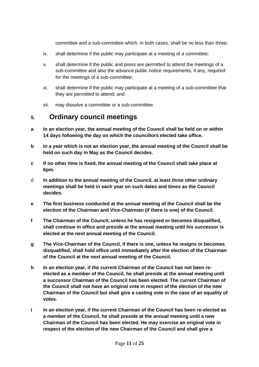committee and a sub-committee which, in both cases, shall be no less than three;

- ix. shall determine if the public may participate at a meeting of a committee;
- x. shall determine if the public and press are permitted to attend the meetings of a sub-committee and also the advance public notice requirements, if any, required for the meetings of a sub-committee;
- xi. shall determine if the public may participate at a meeting of a sub-committee that they are permitted to attend; and
- xii. may dissolve a committee or a sub-committee.

### <span id="page-10-0"></span>**5. Ordinary council meetings**

- **a In an election year, the annual meeting of the Council shall be held on or within 14 days following the day on which the councillors elected take office.**
- **b In a year which is not an election year, the annual meeting of the Council shall be held on such day in May as the Council decides.**
- **c If no other time is fixed, the annual meeting of the Council shall take place at 6pm.**
- d **In addition to the annual meeting of the Council, at least three other ordinary meetings shall be held in each year on such dates and times as the Council decides.**
- **e The first business conducted at the annual meeting of the Council shall be the election of the Chairman and Vice-Chairman (if there is one) of the Council.**
- **f The Chairman of the Council, unless he has resigned or becomes disqualified, shall continue in office and preside at the annual meeting until his successor is elected at the next annual meeting of the Council.**
- **g The Vice-Chairman of the Council, if there is one, unless he resigns or becomes disqualified, shall hold office until immediately after the election of the Chairman of the Council at the next annual meeting of the Council.**
- **h In an election year, if the current Chairman of the Council has not been reelected as a member of the Council, he shall preside at the annual meeting until a successor Chairman of the Council has been elected. The current Chairman of the Council shall not have an original vote in respect of the election of the new Chairman of the Council but shall give a casting vote in the case of an equality of votes.**
- **i In an election year, if the current Chairman of the Council has been re-elected as a member of the Council, he shall preside at the annual meeting until a new Chairman of the Council has been elected. He may exercise an original vote in respect of the election of the new Chairman of the Council and shall give a**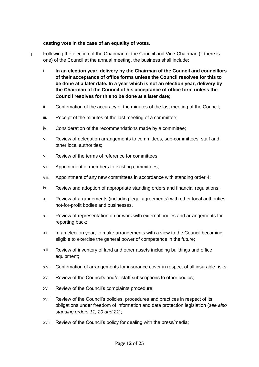#### **casting vote in the case of an equality of votes.**

- j Following the election of the Chairman of the Council and Vice-Chairman (if there is one) of the Council at the annual meeting, the business shall include:
	- i. **In an election year, delivery by the Chairman of the Council and councillors of their acceptance of office forms unless the Council resolves for this to be done at a later date. In a year which is not an election year, delivery by the Chairman of the Council of his acceptance of office form unless the Council resolves for this to be done at a later date;**
	- ii. Confirmation of the accuracy of the minutes of the last meeting of the Council;
	- iii. Receipt of the minutes of the last meeting of a committee;
	- iv. Consideration of the recommendations made by a committee;
	- v. Review of delegation arrangements to committees, sub-committees, staff and other local authorities;
	- vi. Review of the terms of reference for committees;
	- vii. Appointment of members to existing committees;
	- viii. Appointment of any new committees in accordance with standing order 4;
	- ix. Review and adoption of appropriate standing orders and financial regulations;
	- x. Review of arrangements (including legal agreements) with other local authorities, not-for-profit bodies and businesses.
	- xi. Review of representation on or work with external bodies and arrangements for reporting back;
	- xii. In an election year, to make arrangements with a view to the Council becoming eligible to exercise the general power of competence in the future;
	- xiii. Review of inventory of land and other assets including buildings and office equipment;
	- xiv. Confirmation of arrangements for insurance cover in respect of all insurable risks;
	- xv. Review of the Council's and/or staff subscriptions to other bodies;
	- xvi. Review of the Council's complaints procedure;
	- xvii. Review of the Council's policies, procedures and practices in respect of its obligations under freedom of information and data protection legislation (*see also standing orders 11, 20 and 21*);
	- xviii. Review of the Council's policy for dealing with the press/media;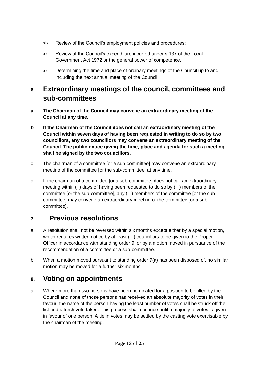- xix. Review of the Council's employment policies and procedures;
- xx. Review of the Council's expenditure incurred under s.137 of the Local Government Act 1972 or the general power of competence.
- xxi. Determining the time and place of ordinary meetings of the Council up to and including the next annual meeting of the Council.

# <span id="page-12-0"></span>**6. Extraordinary meetings of the council, committees and sub-committees**

- **a The Chairman of the Council may convene an extraordinary meeting of the Council at any time.**
- **b If the Chairman of the Council does not call an extraordinary meeting of the Council within seven days of having been requested in writing to do so by two councillors, any two councillors may convene an extraordinary meeting of the Council. The public notice giving the time, place and agenda for such a meeting shall be signed by the two councillors.**
- c The chairman of a committee [or a sub-committee] may convene an extraordinary meeting of the committee [or the sub-committee] at any time.
- d If the chairman of a committee [or a sub-committee] does not call an extraordinary meeting within ( ) days of having been requested to do so by ( ) members of the committee [or the sub-committee], any ( ) members of the committee [or the subcommittee] may convene an extraordinary meeting of the committee [or a subcommittee].

# <span id="page-12-1"></span>**7. Previous resolutions**

- a A resolution shall not be reversed within six months except either by a special motion, which requires written notice by at least () councillors to be given to the Proper Officer in accordance with standing order 9, or by a motion moved in pursuance of the recommendation of a committee or a sub-committee.
- b When a motion moved pursuant to standing order 7(a) has been disposed of, no similar motion may be moved for a further six months.

# <span id="page-12-2"></span>**8. Voting on appointments**

a Where more than two persons have been nominated for a position to be filled by the Council and none of those persons has received an absolute majority of votes in their favour, the name of the person having the least number of votes shall be struck off the list and a fresh vote taken. This process shall continue until a majority of votes is given in favour of one person. A tie in votes may be settled by the casting vote exercisable by the chairman of the meeting.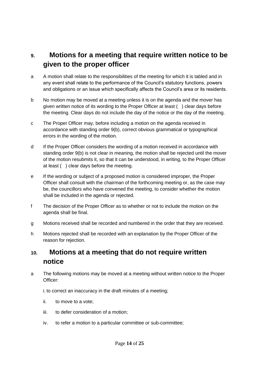# <span id="page-13-0"></span>**9. Motions for a meeting that require written notice to be given to the proper officer**

- a A motion shall relate to the responsibilities of the meeting for which it is tabled and in any event shall relate to the performance of the Council's statutory functions, powers and obligations or an issue which specifically affects the Council's area or its residents.
- b No motion may be moved at a meeting unless it is on the agenda and the mover has given written notice of its wording to the Proper Officer at least ( ) clear days before the meeting. Clear days do not include the day of the notice or the day of the meeting.
- c The Proper Officer may, before including a motion on the agenda received in accordance with standing order 9(b), correct obvious grammatical or typographical errors in the wording of the motion.
- d If the Proper Officer considers the wording of a motion received in accordance with standing order 9(b) is not clear in meaning, the motion shall be rejected until the mover of the motion resubmits it, so that it can be understood, in writing, to the Proper Officer at least ( ) clear days before the meeting.
- e If the wording or subject of a proposed motion is considered improper, the Proper Officer shall consult with the chairman of the forthcoming meeting or, as the case may be, the councillors who have convened the meeting, to consider whether the motion shall be included in the agenda or rejected.
- f The decision of the Proper Officer as to whether or not to include the motion on the agenda shall be final.
- g Motions received shall be recorded and numbered in the order that they are received.
- h Motions rejected shall be recorded with an explanation by the Proper Officer of the reason for rejection.

# <span id="page-13-1"></span>**10. Motions at a meeting that do not require written notice**

a The following motions may be moved at a meeting without written notice to the Proper Officer:

i. to correct an inaccuracy in the draft minutes of a meeting;

- ii. to move to a vote;
- iii. to defer consideration of a motion;
- iv. to refer a motion to a particular committee or sub-committee;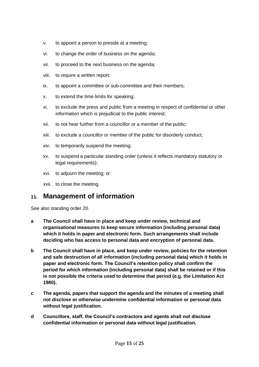- v. to appoint a person to preside at a meeting;
- vi. to change the order of business on the agenda;
- vii. to proceed to the next business on the agenda;
- viii. to require a written report;
- ix. to appoint a committee or sub-committee and their members;
- x. to extend the time limits for speaking;
- xi. to exclude the press and public from a meeting in respect of confidential or other information which is prejudicial to the public interest;
- xii. to not hear further from a councillor or a member of the public;
- xiii. to exclude a councillor or member of the public for disorderly conduct;
- xiv. to temporarily suspend the meeting;
- xv. to suspend a particular standing order (unless it reflects mandatory statutory or legal requirements);
- xvi. to adjourn the meeting; or
- xvii. to close the meeting.

### <span id="page-14-0"></span>**11. Management of information**

See also standing order 20.

- **a The Council shall have in place and keep under review, technical and organisational measures to keep secure information (including personal data) which it holds in paper and electronic form. Such arrangements shall include deciding who has access to personal data and encryption of personal data.**
- **b The Council shall have in place, and keep under review, policies for the retention and safe destruction of all information (including personal data) which it holds in paper and electronic form. The Council's retention policy shall confirm the period for which information (including personal data) shall be retained or if this is not possible the criteria used to determine that period (e.g. the Limitation Act 1980).**
- **c The agenda, papers that support the agenda and the minutes of a meeting shall not disclose or otherwise undermine confidential information or personal data without legal justification.**
- **d Councillors, staff, the Council's contractors and agents shall not disclose confidential information or personal data without legal justification.**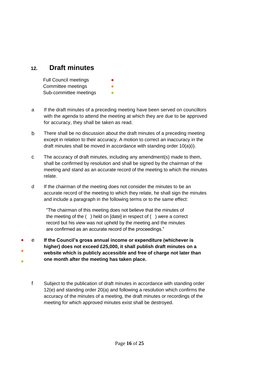### <span id="page-15-0"></span>**12. Draft minutes**

| <b>Full Council meetings</b> | $\bullet$ |
|------------------------------|-----------|
| Committee meetings           | ●         |
| Sub-committee meetings       |           |

- a If the draft minutes of a preceding meeting have been served on councillors with the agenda to attend the meeting at which they are due to be approved for accuracy, they shall be taken as read.
- b There shall be no discussion about the draft minutes of a preceding meeting except in relation to their accuracy. A motion to correct an inaccuracy in the draft minutes shall be moved in accordance with standing order 10(a)(i).
- c The accuracy of draft minutes, including any amendment(s) made to them, shall be confirmed by resolution and shall be signed by the chairman of the meeting and stand as an accurate record of the meeting to which the minutes relate.
- d If the chairman of the meeting does not consider the minutes to be an accurate record of the meeting to which they relate, he shall sign the minutes and include a paragraph in the following terms or to the same effect:

"The chairman of this meeting does not believe that the minutes of the meeting of the ( ) held on [date] in respect of ( ) were a correct record but his view was not upheld by the meeting and the minutes are confirmed as an accurate record of the proceedings."

- ● ● e **If the Council's gross annual income or expenditure (whichever is higher) does not exceed £25,000, it shall publish draft minutes on a website which is publicly accessible and free of charge not later than one month after the meeting has taken place.**
	- f Subject to the publication of draft minutes in accordance with standing order 12(e) and standing order 20(a) and following a resolution which confirms the accuracy of the minutes of a meeting, the draft minutes or recordings of the meeting for which approved minutes exist shall be destroyed.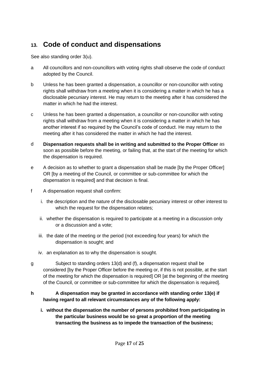# <span id="page-16-0"></span>**13. Code of conduct and dispensations**

See also standing order 3(u).

- a All councillors and non-councillors with voting rights shall observe the code of conduct adopted by the Council.
- b Unless he has been granted a dispensation, a councillor or non-councillor with voting rights shall withdraw from a meeting when it is considering a matter in which he has a disclosable pecuniary interest. He may return to the meeting after it has considered the matter in which he had the interest.
- c Unless he has been granted a dispensation, a councillor or non-councillor with voting rights shall withdraw from a meeting when it is considering a matter in which he has another interest if so required by the Council's code of conduct. He may return to the meeting after it has considered the matter in which he had the interest.
- d **Dispensation requests shall be in writing and submitted to the Proper Officer** as soon as possible before the meeting, or failing that, at the start of the meeting for which the dispensation is required.
- e A decision as to whether to grant a dispensation shall be made [by the Proper Officer] OR [by a meeting of the Council, or committee or sub-committee for which the dispensation is required] and that decision is final.
- f A dispensation request shall confirm:
	- i. the description and the nature of the disclosable pecuniary interest or other interest to which the request for the dispensation relates:
	- ii. whether the dispensation is required to participate at a meeting in a discussion only or a discussion and a vote;
	- iii. the date of the meeting or the period (not exceeding four years) for which the dispensation is sought; and
	- iv. an explanation as to why the dispensation is sought.
- g Subject to standing orders 13(d) and (f), a dispensation request shall be considered [by the Proper Officer before the meeting or, if this is not possible, at the start of the meeting for which the dispensation is required] OR [at the beginning of the meeting of the Council, or committee or sub-committee for which the dispensation is required].

#### **h A dispensation may be granted in accordance with standing order 13(e) if having regard to all relevant circumstances any of the following apply:**

**i. without the dispensation the number of persons prohibited from participating in the particular business would be so great a proportion of the meeting transacting the business as to impede the transaction of the business;**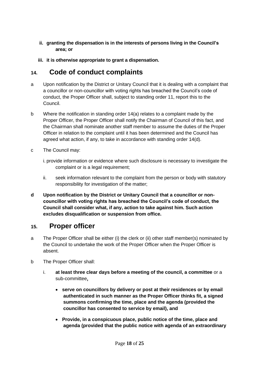#### **ii. granting the dispensation is in the interests of persons living in the Council's area; or**

**iii. it is otherwise appropriate to grant a dispensation.**

# <span id="page-17-0"></span>**14. Code of conduct complaints**

- a Upon notification by the District or Unitary Council that it is dealing with a complaint that a councillor or non-councillor with voting rights has breached the Council's code of conduct, the Proper Officer shall, subject to standing order 11, report this to the Council.
- b Where the notification in standing order 14(a) relates to a complaint made by the Proper Officer, the Proper Officer shall notify the Chairman of Council of this fact, and the Chairman shall nominate another staff member to assume the duties of the Proper Officer in relation to the complaint until it has been determined and the Council has agreed what action, if any, to take in accordance with standing order 14(d).
- c The Council may:
	- i. provide information or evidence where such disclosure is necessary to investigate the complaint or is a legal requirement;
	- ii. seek information relevant to the complaint from the person or body with statutory responsibility for investigation of the matter;
- **d Upon notification by the District or Unitary Council that a councillor or noncouncillor with voting rights has breached the Council's code of conduct, the Council shall consider what, if any, action to take against him. Such action excludes disqualification or suspension from office.**

### <span id="page-17-1"></span>**15. Proper officer**

- a The Proper Officer shall be either (i) the clerk or (ii) other staff member(s) nominated by the Council to undertake the work of the Proper Officer when the Proper Officer is absent.
- b The Proper Officer shall:
	- i. **at least three clear days before a meeting of the council, a committee** or a sub-committee**,**
		- **serve on councillors by delivery or post at their residences or by email authenticated in such manner as the Proper Officer thinks fit, a signed summons confirming the time, place and the agenda (provided the councillor has consented to service by email), and**
		- **Provide, in a conspicuous place, public notice of the time, place and agenda (provided that the public notice with agenda of an extraordinary**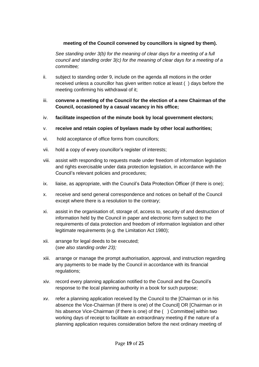#### **meeting of the Council convened by councillors is signed by them).**

*See standing order 3(b) for the meaning of clear days for a meeting of a full council and standing order 3(c) for the meaning of clear days for a meeting of a committee;*

- ii. subject to standing order 9, include on the agenda all motions in the order received unless a councillor has given written notice at least ( ) days before the meeting confirming his withdrawal of it;
- iii. **convene a meeting of the Council for the election of a new Chairman of the Council, occasioned by a casual vacancy in his office;**
- iv. **facilitate inspection of the minute book by local government electors;**
- v. **receive and retain copies of byelaws made by other local authorities;**
- vi. hold acceptance of office forms from councillors;
- vii. hold a copy of every councillor's register of interests;
- viii. assist with responding to requests made under freedom of information legislation and rights exercisable under data protection legislation, in accordance with the Council's relevant policies and procedures;
- ix. liaise, as appropriate, with the Council's Data Protection Officer (if there is one);
- x. receive and send general correspondence and notices on behalf of the Council except where there is a resolution to the contrary;
- xi. assist in the organisation of, storage of, access to, security of and destruction of information held by the Council in paper and electronic form subject to the requirements of data protection and freedom of information legislation and other legitimate requirements (e.g. the Limitation Act 1980);
- xii. arrange for legal deeds to be executed; (*see also standing order 23);*
- xiii. arrange or manage the prompt authorisation, approval, and instruction regarding any payments to be made by the Council in accordance with its financial regulations;
- xiv. record every planning application notified to the Council and the Council's response to the local planning authority in a book for such purpose;
- xv. refer a planning application received by the Council to the [Chairman or in his absence the Vice-Chairman (if there is one) of the Council] OR [Chairman or in his absence Vice-Chairman (if there is one) of the () Committee] within two working days of receipt to facilitate an extraordinary meeting if the nature of a planning application requires consideration before the next ordinary meeting of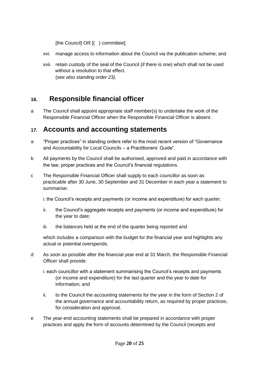[the Council] OR [() committee];

- xvi. manage access to information about the Council via the publication scheme; and
- xvii. retain custody of the seal of the Council (if there is one) which shall not be used without a resolution to that effect. (s*ee also standing order 23).*

### <span id="page-19-0"></span>**16. Responsible financial officer**

a The Council shall appoint appropriate staff member(s) to undertake the work of the Responsible Financial Officer when the Responsible Financial Officer is absent.

### <span id="page-19-1"></span>**17. Accounts and accounting statements**

- a "Proper practices" in standing orders refer to the most recent version of "Governance and Accountability for Local Councils – a Practitioners' Guide".
- b All payments by the Council shall be authorised, approved and paid in accordance with the law, proper practices and the Council's financial regulations.
- c The Responsible Financial Officer shall supply to each councillor as soon as practicable after 30 June, 30 September and 31 December in each year a statement to summarise:

i. the Council's receipts and payments (or income and expenditure) for each quarter;

- ii. the Council's aggregate receipts and payments (or income and expenditure) for the year to date;
- iii. the balances held at the end of the quarter being reported and

which includes a comparison with the budget for the financial year and highlights any actual or potential overspends.

- d As soon as possible after the financial year end at 31 March, the Responsible Financial Officer shall provide:
	- i. each councillor with a statement summarising the Council's receipts and payments (or income and expenditure) for the last quarter and the year to date for information; and
	- ii. to the Council the accounting statements for the year in the form of Section 2 of the annual governance and accountability return, as required by proper practices, for consideration and approval.
- e The year-end accounting statements shall be prepared in accordance with proper practices and apply the form of accounts determined by the Council (receipts and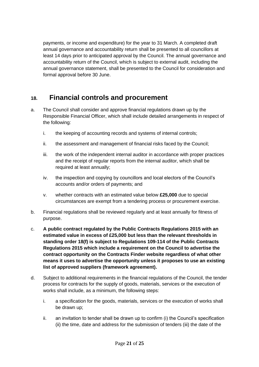payments, or income and expenditure) for the year to 31 March. A completed draft annual governance and accountability return shall be presented to all councillors at least 14 days prior to anticipated approval by the Council. The annual governance and accountability return of the Council, which is subject to external audit, including the annual governance statement, shall be presented to the Council for consideration and formal approval before 30 June.

### <span id="page-20-0"></span>**18. Financial controls and procurement**

- a. The Council shall consider and approve financial regulations drawn up by the Responsible Financial Officer, which shall include detailed arrangements in respect of the following:
	- i. the keeping of accounting records and systems of internal controls;
	- ii. the assessment and management of financial risks faced by the Council;
	- iii. the work of the independent internal auditor in accordance with proper practices and the receipt of regular reports from the internal auditor, which shall be required at least annually;
	- iv. the inspection and copying by councillors and local electors of the Council's accounts and/or orders of payments; and
	- v. whether contracts with an estimated value below **£25,000** due to special circumstances are exempt from a tendering process or procurement exercise.
- b. Financial regulations shall be reviewed regularly and at least annually for fitness of purpose.
- c. **A public contract regulated by the Public Contracts Regulations 2015 with an estimated value in excess of £25,000 but less than the relevant thresholds in standing order 18(f) is subject to Regulations 109-114 of the Public Contracts Regulations 2015 which include a requirement on the Council to advertise the contract opportunity on the Contracts Finder website regardless of what other means it uses to advertise the opportunity unless it proposes to use an existing list of approved suppliers (framework agreement).**
- d. Subject to additional requirements in the financial regulations of the Council, the tender process for contracts for the supply of goods, materials, services or the execution of works shall include, as a minimum, the following steps:
	- i. a specification for the goods, materials, services or the execution of works shall be drawn up;
	- ii. an invitation to tender shall be drawn up to confirm (i) the Council's specification (ii) the time, date and address for the submission of tenders (iii) the date of the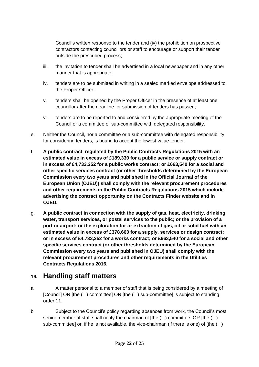Council's written response to the tender and (iv) the prohibition on prospective contractors contacting councillors or staff to encourage or support their tender outside the prescribed process;

- iii. the invitation to tender shall be advertised in a local newspaper and in any other manner that is appropriate;
- iv. tenders are to be submitted in writing in a sealed marked envelope addressed to the Proper Officer;
- v. tenders shall be opened by the Proper Officer in the presence of at least one councillor after the deadline for submission of tenders has passed;
- vi. tenders are to be reported to and considered by the appropriate meeting of the Council or a committee or sub-committee with delegated responsibility.
- e. Neither the Council, nor a committee or a sub-committee with delegated responsibility for considering tenders, is bound to accept the lowest value tender.
- f. **A public contract regulated by the Public Contracts Regulations 2015 with an estimated value in excess of £189,330 for a public service or supply contract or in excess of £4,733,252 for a public works contract; or £663,540 for a social and other specific services contract (or other thresholds determined by the European Commission every two years and published in the Official Journal of the European Union (OJEU)) shall comply with the relevant procurement procedures and other requirements in the Public Contracts Regulations 2015 which include advertising the contract opportunity on the Contracts Finder website and in OJEU.**
- g. **A public contract in connection with the supply of gas, heat, electricity, drinking water, transport services, or postal services to the public; or the provision of a port or airport; or the exploration for or extraction of gas, oil or solid fuel with an estimated value in excess of £378,660 for a supply, services or design contract; or in excess of £4,733,252 for a works contract; or £663,540 for a social and other specific services contract (or other thresholds determined by the European Commission every two years and published in OJEU) shall comply with the relevant procurement procedures and other requirements in the Utilities Contracts Regulations 2016.**

### <span id="page-21-0"></span>**19. Handling staff matters**

- a A matter personal to a member of staff that is being considered by a meeting of [Council] OR [the ( ) committee] OR [the ( ) sub-committee] is subject to standing order 11.
- b Subject to the Council's policy regarding absences from work, the Council's most senior member of staff shall notify the chairman of  $[the ( )$  committeel OR  $[the ( )$ sub-committee] or, if he is not available, the vice-chairman (if there is one) of [the ()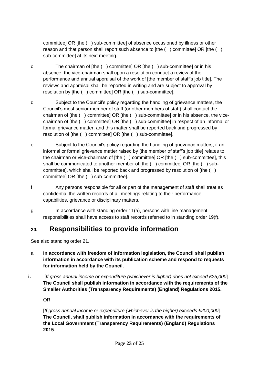committee] OR [the ( ) sub-committee] of absence occasioned by illness or other reason and that person shall report such absence to [the () committee] OR [the () sub-committee] at its next meeting.

- c The chairman of [the ( ) committee] OR [the ( ) sub-committee] or in his absence, the vice-chairman shall upon a resolution conduct a review of the performance and annual appraisal of the work of [the member of staff's job title]. The reviews and appraisal shall be reported in writing and are subject to approval by resolution by [the ( ) committee] OR [the ( ) sub-committee].
- d Subject to the Council's policy regarding the handling of grievance matters, the Council's most senior member of staff (or other members of staff) shall contact the chairman of [the ( ) committee] OR [the ( ) sub-committee] or in his absence, the vicechairman of [the ( ) committee] OR [the ( ) sub-committee] in respect of an informal or formal grievance matter, and this matter shall be reported back and progressed by resolution of [the ( ) committee] OR [the ( ) sub-committee].
- e Subject to the Council's policy regarding the handling of grievance matters, if an informal or formal grievance matter raised by [the member of staff's job title] relates to the chairman or vice-chairman of [the ( ) committee] OR [the ( ) sub-committee], this shall be communicated to another member of [the () committee] OR [the () subcommittee], which shall be reported back and progressed by resolution of [the ( ) committee] OR [the ( ) sub-committee].
- f Any persons responsible for all or part of the management of staff shall treat as confidential the written records of all meetings relating to their performance, capabilities, grievance or disciplinary matters.
- g In accordance with standing order 11(a), persons with line management responsibilities shall have access to staff records referred to in standing order 19(f).

# <span id="page-22-0"></span>**20. Responsibilities to provide information**

See also standing order 21.

- a **In accordance with freedom of information legislation, the Council shall publish information in accordance with its publication scheme and respond to requests for information held by the Council.**
- **i.** *[If gross annual income or expenditure (whichever is higher) does not exceed £25,000*] **The Council shall publish information in accordance with the requirements of the Smaller Authorities (Transparency Requirements) (England) Regulations 2015.**

OR

[*If gross annual income or expenditure (whichever is the higher) exceeds £200,000*] **The Council, shall publish information in accordance with the requirements of the Local Government (Transparency Requirements) (England) Regulations 2015**.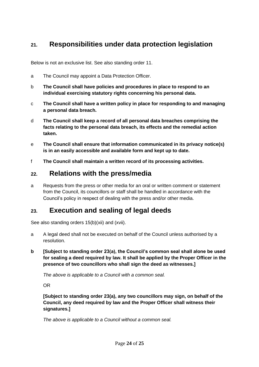# <span id="page-23-0"></span>**21. Responsibilities under data protection legislation**

Below is not an exclusive list. See also standing order 11.

- a The Council may appoint a Data Protection Officer.
- b **The Council shall have policies and procedures in place to respond to an individual exercising statutory rights concerning his personal data.**
- c **The Council shall have a written policy in place for responding to and managing a personal data breach.**
- d **The Council shall keep a record of all personal data breaches comprising the facts relating to the personal data breach, its effects and the remedial action taken.**
- e **The Council shall ensure that information communicated in its privacy notice(s) is in an easily accessible and available form and kept up to date.**
- f **The Council shall maintain a written record of its processing activities.**

### <span id="page-23-1"></span>**22. Relations with the press/media**

a Requests from the press or other media for an oral or written comment or statement from the Council, its councillors or staff shall be handled in accordance with the Council's policy in respect of dealing with the press and/or other media.

### <span id="page-23-2"></span>**23. Execution and sealing of legal deeds**

See also standing orders 15(b)(xii) and (xvii).

- a A legal deed shall not be executed on behalf of the Council unless authorised by a resolution.
- **b [Subject to standing order 23(a), the Council's common seal shall alone be used for sealing a deed required by law. It shall be applied by the Proper Officer in the presence of two councillors who shall sign the deed as witnesses.]**

*The above is applicable to a Council with a common seal.*

OR

**[Subject to standing order 23(a), any two councillors may sign, on behalf of the Council, any deed required by law and the Proper Officer shall witness their signatures.]** 

*The above is applicable to a Council without a common seal.*